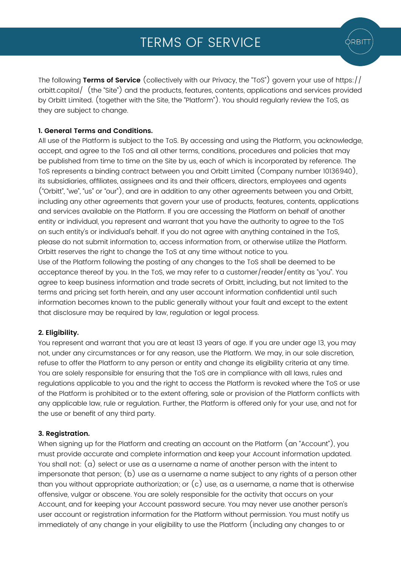The following **Terms of Service** (collectively with our Privacy, the "ToS") govern your use of https:// orbitt.capital/ (the "Site") and the products, features, contents, applications and services provided by Orbitt Limited. (together with the Site, the "Platform"). You should regularly review the ToS, as they are subject to change.

# **1. General Terms and Conditions.**

All use of the Platform is subject to the ToS. By accessing and using the Platform, you acknowledge, accept, and agree to the ToS and all other terms, conditions, procedures and policies that may be published from time to time on the Site by us, each of which is incorporated by reference. The ToS represents a binding contract between you and Orbitt Limited (Company number 10136940), its subsidiaries, affiliates, assignees and its and their officers, directors, employees and agents ("Orbitt", "we", "us" or "our"), and are in addition to any other agreements between you and Orbitt, including any other agreements that govern your use of products, features, contents, applications and services available on the Platform. If you are accessing the Platform on behalf of another entity or individual, you represent and warrant that you have the authority to agree to the ToS on such entity's or individual's behalf. If you do not agree with anything contained in the ToS, please do not submit information to, access information from, or otherwise utilize the Platform. Orbitt reserves the right to change the ToS at any time without notice to you.

Use of the Platform following the posting of any changes to the ToS shall be deemed to be acceptance thereof by you. In the ToS, we may refer to a customer/reader/entity as "you". You agree to keep business information and trade secrets of Orbitt, including, but not limited to the terms and pricing set forth herein, and any user account information confidential until such information becomes known to the public generally without your fault and except to the extent that disclosure may be required by law, regulation or legal process.

# **2. Eligibility.**

You represent and warrant that you are at least 13 years of age. If you are under age 13, you may not, under any circumstances or for any reason, use the Platform. We may, in our sole discretion, refuse to offer the Platform to any person or entity and change its eligibility criteria at any time. You are solely responsible for ensuring that the ToS are in compliance with all laws, rules and regulations applicable to you and the right to access the Platform is revoked where the ToS or use of the Platform is prohibited or to the extent offering, sale or provision of the Platform conflicts with any applicable law, rule or regulation. Further, the Platform is offered only for your use, and not for the use or benefit of any third party.

## **3. Registration.**

When signing up for the Platform and creating an account on the Platform (an "Account"), you must provide accurate and complete information and keep your Account information updated. You shall not: (a) select or use as a username a name of another person with the intent to impersonate that person; (b) use as a username a name subject to any rights of a person other than you without appropriate authorization; or  $(c)$  use, as a username, a name that is otherwise offensive, vulgar or obscene. You are solely responsible for the activity that occurs on your Account, and for keeping your Account password secure. You may never use another person's user account or registration information for the Platform without permission. You must notify us immediately of any change in your eligibility to use the Platform (including any changes to or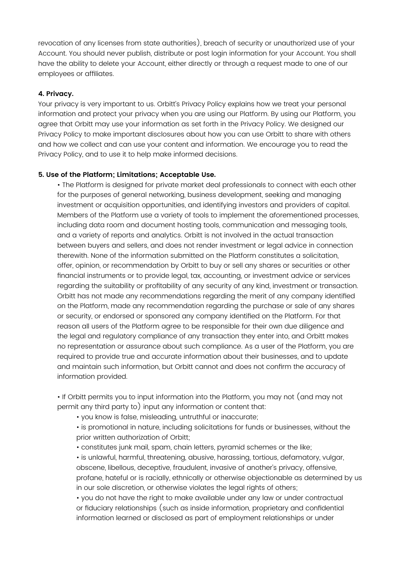revocation of any licenses from state authorities), breach of security or unauthorized use of your Account. You should never publish, distribute or post login information for your Account. You shall have the ability to delete your Account, either directly or through a request made to one of our employees or affiliates.

#### **4. Privacy.**

Your privacy is very important to us. Orbitt's Privacy Policy explains how we treat your personal information and protect your privacy when you are using our Platform. By using our Platform, you agree that Orbitt may use your information as set forth in the Privacy Policy. We designed our Privacy Policy to make important disclosures about how you can use Orbitt to share with others and how we collect and can use your content and information. We encourage you to read the Privacy Policy, and to use it to help make informed decisions.

#### **5. Use of the Platform; Limitations; Acceptable Use.**

• The Platform is designed for private market deal professionals to connect with each other for the purposes of general networking, business development, seeking and managing investment or acquisition opportunities, and identifying investors and providers of capital. Members of the Platform use a variety of tools to implement the aforementioned processes, including data room and document hosting tools, communication and messaging tools, and a variety of reports and analytics. Orbitt is not involved in the actual transaction between buyers and sellers, and does not render investment or legal advice in connection therewith. None of the information submitted on the Platform constitutes a solicitation, offer, opinion, or recommendation by Orbitt to buy or sell any shares or securities or other financial instruments or to provide legal, tax, accounting, or investment advice or services regarding the suitability or profitability of any security of any kind, investment or transaction. Orbitt has not made any recommendations regarding the merit of any company identified on the Platform, made any recommendation regarding the purchase or sale of any shares or security, or endorsed or sponsored any company identified on the Platform. For that reason all users of the Platform agree to be responsible for their own due diligence and the legal and regulatory compliance of any transaction they enter into, and Orbitt makes no representation or assurance about such compliance. As a user of the Platform, you are required to provide true and accurate information about their businesses, and to update and maintain such information, but Orbitt cannot and does not confirm the accuracy of information provided.

• If Orbitt permits you to input information into the Platform, you may not (and may not permit any third party to) input any information or content that:

• you know is false, misleading, untruthful or inaccurate;

• is promotional in nature, including solicitations for funds or businesses, without the prior written authorization of Orbitt;

• constitutes junk mail, spam, chain letters, pyramid schemes or the like;

• is unlawful, harmful, threatening, abusive, harassing, tortious, defamatory, vulgar, obscene, libellous, deceptive, fraudulent, invasive of another's privacy, offensive, profane, hateful or is racially, ethnically or otherwise objectionable as determined by us in our sole discretion, or otherwise violates the legal rights of others;

• you do not have the right to make available under any law or under contractual or fiduciary relationships (such as inside information, proprietary and confidential information learned or disclosed as part of employment relationships or under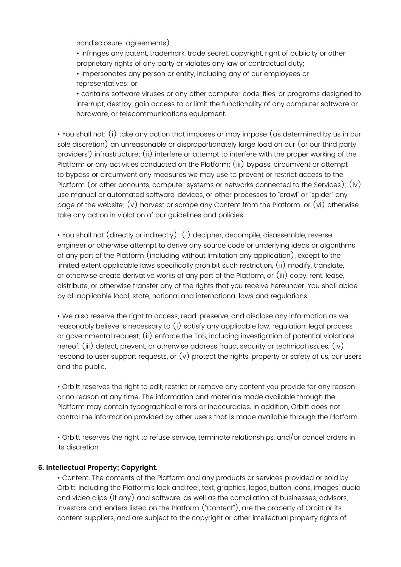nondisclosure agreements):

• infringes any patent, trademark, trade secret, copyright, right of publicity or other proprietary rights of any party or violates any law or contractual duty;

• impersonates any person or entity, including any of our employees or representatives; or

• contains software viruses or any other computer code, files, or programs designed to interrupt, destroy, gain access to or limit the functionality of any computer software or hardware, or telecommunications equipment.

• You shall not: (i) take any action that imposes or may impose (as determined by us in our sole discretion) an unreasonable or disproportionately large load on our (or our third party providers') infrastructure; (ii) interfere or attempt to interfere with the proper working of the Platform or any activities conducted on the Platform; (iii) bypass, circumvent or attempt to bypass or circumvent any measures we may use to prevent or restrict access to the Platform (or other accounts, computer systems or networks connected to the Services); (iv) use manual or automated software, devices, or other processes to "crawl" or "spider" any page of the website; (v) harvest or scrape any Content from the Platform; or (vi) otherwise take any action in violation of our guidelines and policies.

• You shall not (directly or indirectly): (i) decipher, decompile, disassemble, reverse engineer or otherwise attempt to derive any source code or underlying ideas or algorithms of any part of the Platform (including without limitation any application), except to the limited extent applicable laws specifically prohibit such restriction, (ii) modify, translate, or otherwise create derivative works of any part of the Platform, or (iii) copy, rent, lease, distribute, or otherwise transfer any of the rights that you receive hereunder. You shall abide by all applicable local, state, national and international laws and regulations.

• We also reserve the right to access, read, preserve, and disclose any information as we reasonably believe is necessary to (i) satisfy any applicable law, regulation, legal process or governmental request, (ii) enforce the ToS, including investigation of potential violations hereof, (iii) detect, prevent, or otherwise address fraud, security or technical issues, (iv) respond to user support requests, or  $(v)$  protect the rights, property or safety of us, our users and the public.

• Orbitt reserves the right to edit, restrict or remove any content you provide for any reason or no reason at any time. The information and materials made available through the Platform may contain typographical errors or inaccuracies. In addition, Orbitt does not control the information provided by other users that is made available through the Platform.

• Orbitt reserves the right to refuse service, terminate relationships, and/or cancel orders in its discretion.

## **6. Intellectual Property; Copyright.**

• Content. The contents of the Platform and any products or services provided or sold by Orbitt, including the Platform's look and feel, text, graphics, logos, button icons, images, audio and video clips (if any) and software, as well as the compilation of businesses, advisors, investors and lenders listed on the Platform ("Content"), are the property of Orbitt or its content suppliers, and are subject to the copyright or other intellectual property rights of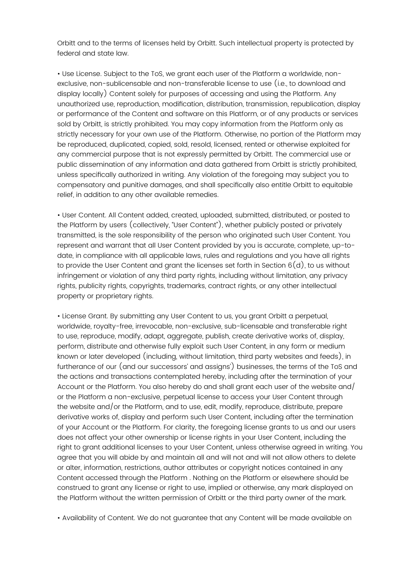Orbitt and to the terms of licenses held by Orbitt. Such intellectual property is protected by federal and state law.

• Use License. Subject to the ToS, we grant each user of the Platform a worldwide, nonexclusive, non-sublicensable and non-transferable license to use (i.e., to download and display locally) Content solely for purposes of accessing and using the Platform. Any unauthorized use, reproduction, modification, distribution, transmission, republication, display or performance of the Content and software on this Platform, or of any products or services sold by Orbitt, is strictly prohibited. You may copy information from the Platform only as strictly necessary for your own use of the Platform. Otherwise, no portion of the Platform may be reproduced, duplicated, copied, sold, resold, licensed, rented or otherwise exploited for any commercial purpose that is not expressly permitted by Orbitt. The commercial use or public dissemination of any information and data gathered from Orbitt is strictly prohibited, unless specifically authorized in writing. Any violation of the foregoing may subject you to compensatory and punitive damages, and shall specifically also entitle Orbitt to equitable relief, in addition to any other available remedies.

• User Content. All Content added, created, uploaded, submitted, distributed, or posted to the Platform by users (collectively, "User Content"), whether publicly posted or privately transmitted, is the sole responsibility of the person who originated such User Content. You represent and warrant that all User Content provided by you is accurate, complete, up-todate, in compliance with all applicable laws, rules and regulations and you have all rights to provide the User Content and grant the licenses set forth in Section  $6(d)$ , to us without infringement or violation of any third party rights, including without limitation, any privacy rights, publicity rights, copyrights, trademarks, contract rights, or any other intellectual property or proprietary rights.

• License Grant. By submitting any User Content to us, you grant Orbitt a perpetual, worldwide, royalty-free, irrevocable, non-exclusive, sub-licensable and transferable right to use, reproduce, modify, adapt, aggregate, publish, create derivative works of, display, perform, distribute and otherwise fully exploit such User Content, in any form or medium known or later developed (including, without limitation, third party websites and feeds), in furtherance of our (and our successors' and assigns') businesses, the terms of the ToS and the actions and transactions contemplated hereby, including after the termination of your Account or the Platform. You also hereby do and shall grant each user of the website and/ or the Platform a non-exclusive, perpetual license to access your User Content through the website and/or the Platform, and to use, edit, modify, reproduce, distribute, prepare derivative works of, display and perform such User Content, including after the termination of your Account or the Platform. For clarity, the foregoing license grants to us and our users does not affect your other ownership or license rights in your User Content, including the right to grant additional licenses to your User Content, unless otherwise agreed in writing. You agree that you will abide by and maintain all and will not and will not allow others to delete or alter, information, restrictions, author attributes or copyright notices contained in any Content accessed through the Platform . Nothing on the Platform or elsewhere should be construed to grant any license or right to use, implied or otherwise, any mark displayed on the Platform without the written permission of Orbitt or the third party owner of the mark.

• Availability of Content. We do not guarantee that any Content will be made available on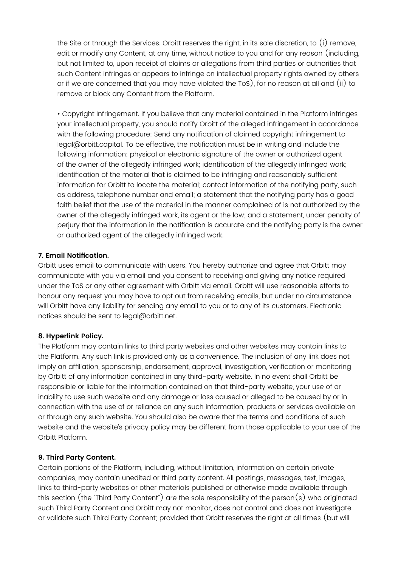the Site or through the Services. Orbitt reserves the right, in its sole discretion, to (i) remove, edit or modify any Content, at any time, without notice to you and for any reason (including, but not limited to, upon receipt of claims or allegations from third parties or authorities that such Content infringes or appears to infringe on intellectual property rights owned by others or if we are concerned that you may have violated the ToS), for no reason at all and (ii) to remove or block any Content from the Platform.

• Copyright Infringement. If you believe that any material contained in the Platform infringes your intellectual property, you should notify Orbitt of the alleged infringement in accordance with the following procedure: Send any notification of claimed copyright infringement to legal@orbitt.capital. To be effective, the notification must be in writing and include the following information: physical or electronic signature of the owner or authorized agent of the owner of the allegedly infringed work; identification of the allegedly infringed work; identification of the material that is claimed to be infringing and reasonably sufficient information for Orbitt to locate the material; contact information of the notifying party, such as address, telephone number and email; a statement that the notifying party has a good faith belief that the use of the material in the manner complained of is not authorized by the owner of the allegedly infringed work, its agent or the law; and a statement, under penalty of perjury that the information in the notification is accurate and the notifying party is the owner or authorized agent of the allegedly infringed work.

# **7. Email Notification.**

Orbitt uses email to communicate with users. You hereby authorize and agree that Orbitt may communicate with you via email and you consent to receiving and giving any notice required under the ToS or any other agreement with Orbitt via email. Orbitt will use reasonable efforts to honour any request you may have to opt out from receiving emails, but under no circumstance will Orbitt have any liability for sending any email to you or to any of its customers. Electronic notices should be sent to legal@orbitt.net.

## **8. Hyperlink Policy.**

The Platform may contain links to third party websites and other websites may contain links to the Platform. Any such link is provided only as a convenience. The inclusion of any link does not imply an affiliation, sponsorship, endorsement, approval, investigation, verification or monitoring by Orbitt of any information contained in any third-party website. In no event shall Orbitt be responsible or liable for the information contained on that third-party website, your use of or inability to use such website and any damage or loss caused or alleged to be caused by or in connection with the use of or reliance on any such information, products or services available on or through any such website. You should also be aware that the terms and conditions of such website and the website's privacy policy may be different from those applicable to your use of the Orbitt Platform.

## **9. Third Party Content.**

Certain portions of the Platform, including, without limitation, information on certain private companies, may contain unedited or third party content. All postings, messages, text, images, links to third-party websites or other materials published or otherwise made available through this section (the "Third Party Content") are the sole responsibility of the person(s) who originated such Third Party Content and Orbitt may not monitor, does not control and does not investigate or validate such Third Party Content; provided that Orbitt reserves the right at all times (but will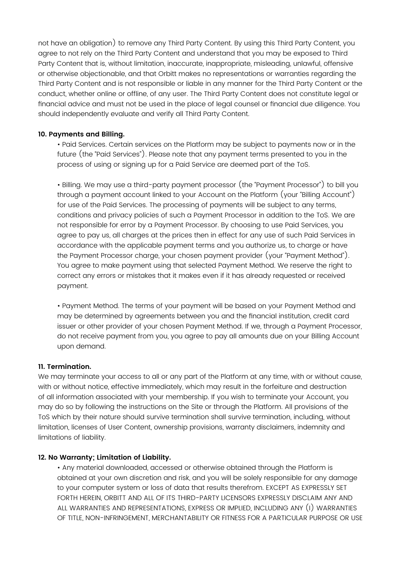not have an obligation) to remove any Third Party Content. By using this Third Party Content, you agree to not rely on the Third Party Content and understand that you may be exposed to Third Party Content that is, without limitation, inaccurate, inappropriate, misleading, unlawful, offensive or otherwise objectionable, and that Orbitt makes no representations or warranties regarding the Third Party Content and is not responsible or liable in any manner for the Third Party Content or the conduct, whether online or offline, of any user. The Third Party Content does not constitute legal or financial advice and must not be used in the place of legal counsel or financial due diligence. You should independently evaluate and verify all Third Party Content.

## **10. Payments and Billing.**

• Paid Services. Certain services on the Platform may be subject to payments now or in the future (the "Paid Services"). Please note that any payment terms presented to you in the process of using or signing up for a Paid Service are deemed part of the ToS.

• Billing. We may use a third-party payment processor (the "Payment Processor") to bill you through a payment account linked to your Account on the Platform (your "Billing Account") for use of the Paid Services. The processing of payments will be subject to any terms, conditions and privacy policies of such a Payment Processor in addition to the ToS. We are not responsible for error by a Payment Processor. By choosing to use Paid Services, you agree to pay us, all charges at the prices then in effect for any use of such Paid Services in accordance with the applicable payment terms and you authorize us, to charge or have the Payment Processor charge, your chosen payment provider (your "Payment Method"). You agree to make payment using that selected Payment Method. We reserve the right to correct any errors or mistakes that it makes even if it has already requested or received payment.

• Payment Method. The terms of your payment will be based on your Payment Method and may be determined by agreements between you and the financial institution, credit card issuer or other provider of your chosen Payment Method. If we, through a Payment Processor, do not receive payment from you, you agree to pay all amounts due on your Billing Account upon demand.

#### **11. Termination.**

We may terminate your access to all or any part of the Platform at any time, with or without cause, with or without notice, effective immediately, which may result in the forfeiture and destruction of all information associated with your membership. If you wish to terminate your Account, you may do so by following the instructions on the Site or through the Platform. All provisions of the ToS which by their nature should survive termination shall survive termination, including, without limitation, licenses of User Content, ownership provisions, warranty disclaimers, indemnity and limitations of liability.

#### **12. No Warranty; Limitation of Liability.**

• Any material downloaded, accessed or otherwise obtained through the Platform is obtained at your own discretion and risk, and you will be solely responsible for any damage to your computer system or loss of data that results therefrom. EXCEPT AS EXPRESSLY SET FORTH HEREIN, ORBITT AND ALL OF ITS THIRD-PARTY LICENSORS EXPRESSLY DISCLAIM ANY AND ALL WARRANTIES AND REPRESENTATIONS, EXPRESS OR IMPLIED, INCLUDING ANY (I) WARRANTIES OF TITLE, NON-INFRINGEMENT, MERCHANTABILITY OR FITNESS FOR A PARTICULAR PURPOSE OR USE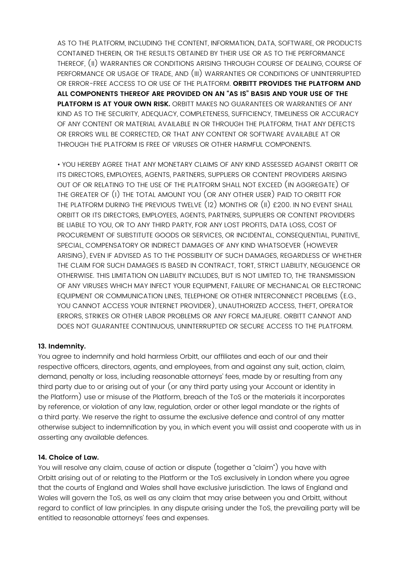AS TO THE PLATFORM, INCLUDING THE CONTENT, INFORMATION, DATA, SOFTWARE, OR PRODUCTS CONTAINED THEREIN, OR THE RESULTS OBTAINED BY THEIR USE OR AS TO THE PERFORMANCE THEREOF, (II) WARRANTIES OR CONDITIONS ARISING THROUGH COURSE OF DEALING, COURSE OF PERFORMANCE OR USAGE OF TRADE, AND (III) WARRANTIES OR CONDITIONS OF UNINTERRUPTED OR ERROR-FREE ACCESS TO OR USE OF THE PLATFORM. **ORBITT PROVIDES THE PLATFORM AND ALL COMPONENTS THEREOF ARE PROVIDED ON AN "AS IS" BASIS AND YOUR USE OF THE PLATFORM IS AT YOUR OWN RISK.** ORBITT MAKES NO GUARANTEES OR WARRANTIES OF ANY KIND AS TO THE SECURITY, ADEQUACY, COMPLETENESS, SUFFICIENCY, TIMELINESS OR ACCURACY OF ANY CONTENT OR MATERIAL AVAILABLE IN OR THROUGH THE PLATFORM, THAT ANY DEFECTS OR ERRORS WILL BE CORRECTED, OR THAT ANY CONTENT OR SOFTWARE AVAILABLE AT OR THROUGH THE PLATFORM IS FREE OF VIRUSES OR OTHER HARMFUL COMPONENTS.

• YOU HEREBY AGREE THAT ANY MONETARY CLAIMS OF ANY KIND ASSESSED AGAINST ORBITT OR ITS DIRECTORS, EMPLOYEES, AGENTS, PARTNERS, SUPPLIERS OR CONTENT PROVIDERS ARISING OUT OF OR RELATING TO THE USE OF THE PLATFORM SHALL NOT EXCEED (IN AGGREGATE) OF THE GREATER OF (I) THE TOTAL AMOUNT YOU (OR ANY OTHER USER) PAID TO ORBITT FOR THE PLATFORM DURING THE PREVIOUS TWELVE (12) MONTHS OR (II) £200. IN NO EVENT SHALL ORBITT OR ITS DIRECTORS, EMPLOYEES, AGENTS, PARTNERS, SUPPLIERS OR CONTENT PROVIDERS BE LIABLE TO YOU, OR TO ANY THIRD PARTY, FOR ANY LOST PROFITS, DATA LOSS, COST OF PROCUREMENT OF SUBSTITUTE GOODS OR SERVICES, OR INCIDENTAL, CONSEQUENTIAL, PUNITIVE, SPECIAL, COMPENSATORY OR INDIRECT DAMAGES OF ANY KIND WHATSOEVER (HOWEVER ARISING), EVEN IF ADVISED AS TO THE POSSIBILITY OF SUCH DAMAGES, REGARDLESS OF WHETHER THE CLAIM FOR SUCH DAMAGES IS BASED IN CONTRACT, TORT, STRICT LIABILITY, NEGLIGENCE OR OTHERWISE. THIS LIMITATION ON LIABILITY INCLUDES, BUT IS NOT LIMITED TO, THE TRANSMISSION OF ANY VIRUSES WHICH MAY INFECT YOUR EQUIPMENT, FAILURE OF MECHANICAL OR ELECTRONIC EQUIPMENT OR COMMUNICATION LINES, TELEPHONE OR OTHER INTERCONNECT PROBLEMS (E.G., YOU CANNOT ACCESS YOUR INTERNET PROVIDER), UNAUTHORIZED ACCESS, THEFT, OPERATOR ERRORS, STRIKES OR OTHER LABOR PROBLEMS OR ANY FORCE MAJEURE. ORBITT CANNOT AND DOES NOT GUARANTEE CONTINUOUS, UNINTERRUPTED OR SECURE ACCESS TO THE PLATFORM.

## **13. Indemnity.**

You agree to indemnify and hold harmless Orbitt, our affiliates and each of our and their respective officers, directors, agents, and employees, from and against any suit, action, claim, demand, penalty or loss, including reasonable attorneys' fees, made by or resulting from any third party due to or arising out of your (or any third party using your Account or identity in the Platform) use or misuse of the Platform, breach of the ToS or the materials it incorporates by reference, or violation of any law, regulation, order or other legal mandate or the rights of a third party. We reserve the right to assume the exclusive defence and control of any matter otherwise subject to indemnification by you, in which event you will assist and cooperate with us in asserting any available defences.

## **14. Choice of Law.**

You will resolve any claim, cause of action or dispute (together a "claim") you have with Orbitt arising out of or relating to the Platform or the ToS exclusively in London where you agree that the courts of England and Wales shall have exclusive jurisdiction. The laws of England and Wales will govern the ToS, as well as any claim that may arise between you and Orbitt, without regard to conflict of law principles. In any dispute arising under the ToS, the prevailing party will be entitled to reasonable attorneys' fees and expenses.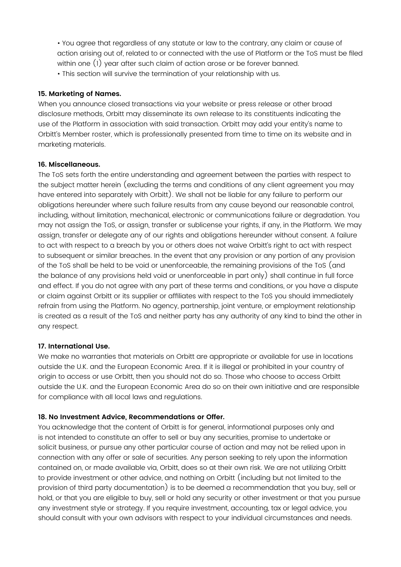• You agree that regardless of any statute or law to the contrary, any claim or cause of action arising out of, related to or connected with the use of Platform or the ToS must be filed within one (1) year after such claim of action arose or be forever banned. • This section will survive the termination of your relationship with us.

## **15. Marketing of Names.**

When you announce closed transactions via your website or press release or other broad disclosure methods, Orbitt may disseminate its own release to its constituents indicating the use of the Platform in association with said transaction. Orbitt may add your entity's name to Orbitt's Member roster, which is professionally presented from time to time on its website and in marketing materials.

#### **16. Miscellaneous.**

The ToS sets forth the entire understanding and agreement between the parties with respect to the subject matter herein (excluding the terms and conditions of any client agreement you may have entered into separately with Orbitt). We shall not be liable for any failure to perform our obligations hereunder where such failure results from any cause beyond our reasonable control, including, without limitation, mechanical, electronic or communications failure or degradation. You may not assign the ToS, or assign, transfer or sublicense your rights, if any, in the Platform. We may assign, transfer or delegate any of our rights and obligations hereunder without consent. A failure to act with respect to a breach by you or others does not waive Orbitt's right to act with respect to subsequent or similar breaches. In the event that any provision or any portion of any provision of the ToS shall be held to be void or unenforceable, the remaining provisions of the ToS (and the balance of any provisions held void or unenforceable in part only) shall continue in full force and effect. If you do not agree with any part of these terms and conditions, or you have a dispute or claim against Orbitt or its supplier or affiliates with respect to the ToS you should immediately refrain from using the Platform. No agency, partnership, joint venture, or employment relationship is created as a result of the ToS and neither party has any authority of any kind to bind the other in any respect.

## **17. International Use.**

We make no warranties that materials on Orbitt are appropriate or available for use in locations outside the U.K. and the European Economic Area. If it is illegal or prohibited in your country of origin to access or use Orbitt, then you should not do so. Those who choose to access Orbitt outside the U.K. and the European Economic Area do so on their own initiative and are responsible for compliance with all local laws and regulations.

## **18. No Investment Advice, Recommendations or Offer.**

You acknowledge that the content of Orbitt is for general, informational purposes only and is not intended to constitute an offer to sell or buy any securities, promise to undertake or solicit business, or pursue any other particular course of action and may not be relied upon in connection with any offer or sale of securities. Any person seeking to rely upon the information contained on, or made available via, Orbitt, does so at their own risk. We are not utilizing Orbitt to provide investment or other advice, and nothing on Orbitt (including but not limited to the provision of third party documentation) is to be deemed a recommendation that you buy, sell or hold, or that you are eligible to buy, sell or hold any security or other investment or that you pursue any investment style or strategy. If you require investment, accounting, tax or legal advice, you should consult with your own advisors with respect to your individual circumstances and needs.